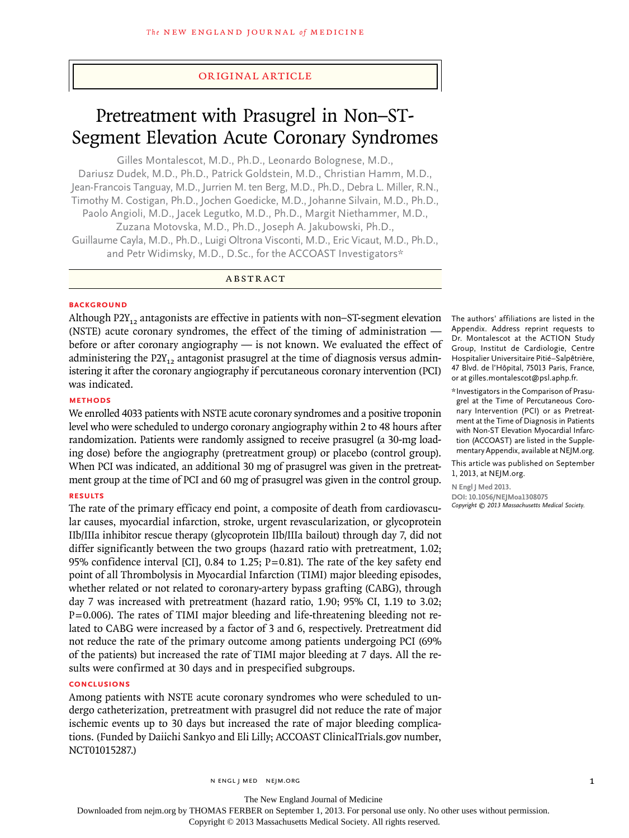# original article

# Pretreatment with Prasugrel in Non–ST-Segment Elevation Acute Coronary Syndromes

Gilles Montalescot, M.D., Ph.D., Leonardo Bolognese, M.D., Dariusz Dudek, M.D., Ph.D., Patrick Goldstein, M.D., Christian Hamm, M.D., Jean-Francois Tanguay, M.D., Jurrien M. ten Berg, M.D., Ph.D., Debra L. Miller, R.N., Timothy M. Costigan, Ph.D., Jochen Goedicke, M.D., Johanne Silvain, M.D., Ph.D., Paolo Angioli, M.D., Jacek Legutko, M.D., Ph.D., Margit Niethammer, M.D., Zuzana Motovska, M.D., Ph.D., Joseph A. Jakubowski, Ph.D., Guillaume Cayla, M.D., Ph.D., Luigi Oltrona Visconti, M.D., Eric Vicaut, M.D., Ph.D., and Petr Widimsky, M.D., D.Sc., for the ACCOAST Investigators\*

**ABSTRACT** 

### **BACKGROUND**

Although P2Y<sub>12</sub> antagonists are effective in patients with non–ST-segment elevation (NSTE) acute coronary syndromes, the effect of the timing of administration before or after coronary angiography — is not known. We evaluated the effect of administering the  $P2Y_{12}$  antagonist prasugrel at the time of diagnosis versus administering it after the coronary angiography if percutaneous coronary intervention (PCI) was indicated.

# **Methods**

We enrolled 4033 patients with NSTE acute coronary syndromes and a positive troponin level who were scheduled to undergo coronary angiography within 2 to 48 hours after randomization. Patients were randomly assigned to receive prasugrel (a 30-mg loading dose) before the angiography (pretreatment group) or placebo (control group). When PCI was indicated, an additional 30 mg of prasugrel was given in the pretreatment group at the time of PCI and 60 mg of prasugrel was given in the control group.

# **Results**

The rate of the primary efficacy end point, a composite of death from cardiovascular causes, myocardial infarction, stroke, urgent revascularization, or glycoprotein IIb/IIIa inhibitor rescue therapy (glycoprotein IIb/IIIa bailout) through day 7, did not differ significantly between the two groups (hazard ratio with pretreatment, 1.02; 95% confidence interval [CI], 0.84 to 1.25; P=0.81). The rate of the key safety end point of all Thrombolysis in Myocardial Infarction (TIMI) major bleeding episodes, whether related or not related to coronary-artery bypass grafting (CABG), through day 7 was increased with pretreatment (hazard ratio, 1.90; 95% CI, 1.19 to 3.02; P=0.006). The rates of TIMI major bleeding and life-threatening bleeding not related to CABG were increased by a factor of 3 and 6, respectively. Pretreatment did not reduce the rate of the primary outcome among patients undergoing PCI (69% of the patients) but increased the rate of TIMI major bleeding at 7 days. All the results were confirmed at 30 days and in prespecified subgroups.

#### **Conclusions**

Among patients with NSTE acute coronary syndromes who were scheduled to undergo catheterization, pretreatment with prasugrel did not reduce the rate of major ischemic events up to 30 days but increased the rate of major bleeding complications. (Funded by Daiichi Sankyo and Eli Lilly; ACCOAST ClinicalTrials.gov number, NCT01015287.)

The authors' affiliations are listed in the Appendix. Address reprint requests to Dr. Montalescot at the ACTION Study Group, Institut de Cardiologie, Centre Hospitalier Universitaire Pitié–Salpêtrière, 47 Blvd. de l'Hôpital, 75013 Paris, France, or at gilles.montalescot@psl.aphp.fr.

\*Investigators in the Comparison of Prasugrel at the Time of Percutaneous Coronary Intervention (PCI) or as Pretreatment at the Time of Diagnosis in Patients with Non-ST Elevation Myocardial Infarction (ACCOAST) are listed in the Supplementary Appendix, available at NEJM.org.

This article was published on September 1, 2013, at NEJM.org.

**N Engl J Med 2013. DOI: 10.1056/NEJMoa1308075** *Copyright © 2013 Massachusetts Medical Society.*

The New England Journal of Medicine

Downloaded from nejm.org by THOMAS FERBER on September 1, 2013. For personal use only. No other uses without permission.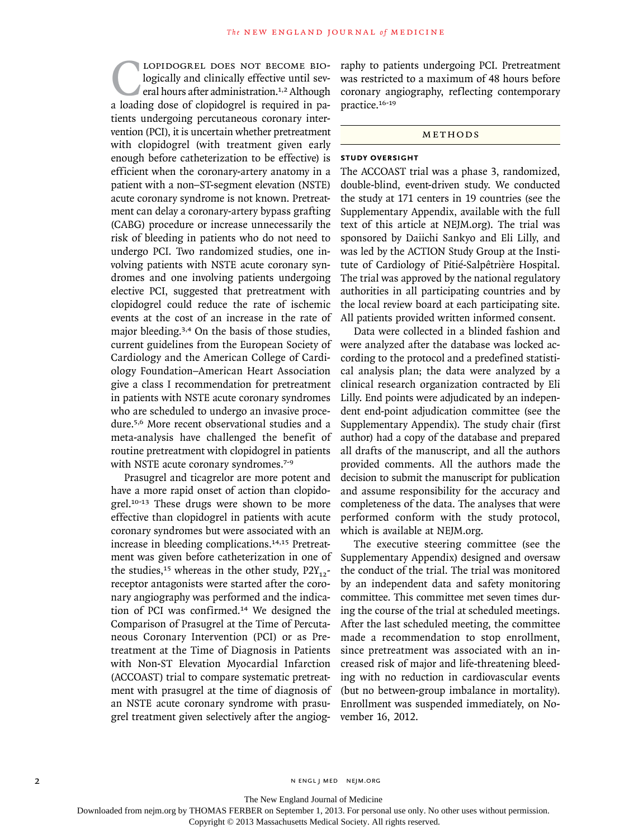LOPIDOGREL DOES NOT BECOME BIO-<br>logically and clinically effective until sev-<br>eral hours after administration.<sup>1,2</sup> Although<br>a loading dose of clopidogrel is required in palogically and clinically effective until several hours after administration.<sup>1,2</sup> Although a loading dose of clopidogrel is required in patients undergoing percutaneous coronary intervention (PCI), it is uncertain whether pretreatment with clopidogrel (with treatment given early enough before catheterization to be effective) is efficient when the coronary-artery anatomy in a patient with a non–ST-segment elevation (NSTE) acute coronary syndrome is not known. Pretreatment can delay a coronary-artery bypass grafting (CABG) procedure or increase unnecessarily the risk of bleeding in patients who do not need to undergo PCI. Two randomized studies, one involving patients with NSTE acute coronary syndromes and one involving patients undergoing elective PCI, suggested that pretreatment with clopidogrel could reduce the rate of ischemic events at the cost of an increase in the rate of major bleeding.<sup>3,4</sup> On the basis of those studies, current guidelines from the European Society of Cardiology and the American College of Cardiology Foundation–American Heart Association give a class I recommendation for pretreatment in patients with NSTE acute coronary syndromes who are scheduled to undergo an invasive procedure.5,6 More recent observational studies and a meta-analysis have challenged the benefit of routine pretreatment with clopidogrel in patients with NSTE acute coronary syndromes.<sup>7-9</sup>

Prasugrel and ticagrelor are more potent and have a more rapid onset of action than clopidogrel.10-13 These drugs were shown to be more effective than clopidogrel in patients with acute coronary syndromes but were associated with an increase in bleeding complications.<sup>14,15</sup> Pretreatment was given before catheterization in one of the studies,<sup>15</sup> whereas in the other study,  $P2Y_{12}$ receptor antagonists were started after the coronary angiography was performed and the indication of PCI was confirmed.14 We designed the Comparison of Prasugrel at the Time of Percutaneous Coronary Intervention (PCI) or as Pretreatment at the Time of Diagnosis in Patients with Non-ST Elevation Myocardial Infarction (ACCOAST) trial to compare systematic pretreatment with prasugrel at the time of diagnosis of an NSTE acute coronary syndrome with prasugrel treatment given selectively after the angiography to patients undergoing PCI. Pretreatment was restricted to a maximum of 48 hours before coronary angiography, reflecting contemporary practice.16-19

# METHODS

# **Study Oversight**

The ACCOAST trial was a phase 3, randomized, double-blind, event-driven study. We conducted the study at 171 centers in 19 countries (see the Supplementary Appendix, available with the full text of this article at NEJM.org). The trial was sponsored by Daiichi Sankyo and Eli Lilly, and was led by the ACTION Study Group at the Institute of Cardiology of Pitié-Salpêtrière Hospital. The trial was approved by the national regulatory authorities in all participating countries and by the local review board at each participating site. All patients provided written informed consent.

Data were collected in a blinded fashion and were analyzed after the database was locked according to the protocol and a predefined statistical analysis plan; the data were analyzed by a clinical research organization contracted by Eli Lilly. End points were adjudicated by an independent end-point adjudication committee (see the Supplementary Appendix). The study chair (first author) had a copy of the database and prepared all drafts of the manuscript, and all the authors provided comments. All the authors made the decision to submit the manuscript for publication and assume responsibility for the accuracy and completeness of the data. The analyses that were performed conform with the study protocol, which is available at NEJM.org.

The executive steering committee (see the Supplementary Appendix) designed and oversaw the conduct of the trial. The trial was monitored by an independent data and safety monitoring committee. This committee met seven times during the course of the trial at scheduled meetings. After the last scheduled meeting, the committee made a recommendation to stop enrollment, since pretreatment was associated with an increased risk of major and life-threatening bleeding with no reduction in cardiovascular events (but no between-group imbalance in mortality). Enrollment was suspended immediately, on November 16, 2012.

Downloaded from nejm.org by THOMAS FERBER on September 1, 2013. For personal use only. No other uses without permission.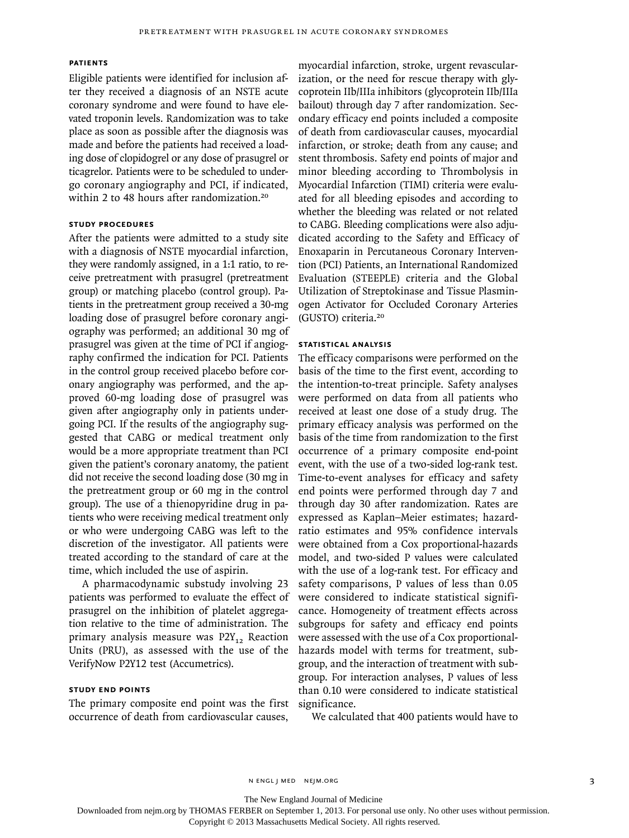#### **Patients**

Eligible patients were identified for inclusion after they received a diagnosis of an NSTE acute coronary syndrome and were found to have elevated troponin levels. Randomization was to take place as soon as possible after the diagnosis was made and before the patients had received a loading dose of clopidogrel or any dose of prasugrel or ticagrelor. Patients were to be scheduled to undergo coronary angiography and PCI, if indicated, within 2 to 48 hours after randomization.<sup>20</sup>

# **Study Procedures**

After the patients were admitted to a study site with a diagnosis of NSTE myocardial infarction, they were randomly assigned, in a 1:1 ratio, to receive pretreatment with prasugrel (pretreatment group) or matching placebo (control group). Patients in the pretreatment group received a 30-mg loading dose of prasugrel before coronary angiography was performed; an additional 30 mg of prasugrel was given at the time of PCI if angiography confirmed the indication for PCI. Patients in the control group received placebo before coronary angiography was performed, and the approved 60-mg loading dose of prasugrel was given after angiography only in patients undergoing PCI. If the results of the angiography suggested that CABG or medical treatment only would be a more appropriate treatment than PCI given the patient's coronary anatomy, the patient did not receive the second loading dose (30 mg in the pretreatment group or 60 mg in the control group). The use of a thienopyridine drug in patients who were receiving medical treatment only or who were undergoing CABG was left to the discretion of the investigator. All patients were treated according to the standard of care at the time, which included the use of aspirin.

A pharmacodynamic substudy involving 23 patients was performed to evaluate the effect of prasugrel on the inhibition of platelet aggregation relative to the time of administration. The primary analysis measure was  $P2Y_{12}$  Reaction Units (PRU), as assessed with the use of the VerifyNow P2Y12 test (Accumetrics).

# **Study End Points**

The primary composite end point was the first occurrence of death from cardiovascular causes,

myocardial infarction, stroke, urgent revascularization, or the need for rescue therapy with glycoprotein IIb/IIIa inhibitors (glycoprotein IIb/IIIa bailout) through day 7 after randomization. Secondary efficacy end points included a composite of death from cardiovascular causes, myocardial infarction, or stroke; death from any cause; and stent thrombosis. Safety end points of major and minor bleeding according to Thrombolysis in Myocardial Infarction (TIMI) criteria were evaluated for all bleeding episodes and according to whether the bleeding was related or not related to CABG. Bleeding complications were also adjudicated according to the Safety and Efficacy of Enoxaparin in Percutaneous Coronary Intervention (PCI) Patients, an International Randomized Evaluation (STEEPLE) criteria and the Global Utilization of Streptokinase and Tissue Plasminogen Activator for Occluded Coronary Arteries (GUSTO) criteria.<sup>20</sup>

# **Statistical Analysis**

The efficacy comparisons were performed on the basis of the time to the first event, according to the intention-to-treat principle. Safety analyses were performed on data from all patients who received at least one dose of a study drug. The primary efficacy analysis was performed on the basis of the time from randomization to the first occurrence of a primary composite end-point event, with the use of a two-sided log-rank test. Time-to-event analyses for efficacy and safety end points were performed through day 7 and through day 30 after randomization. Rates are expressed as Kaplan–Meier estimates; hazardratio estimates and 95% confidence intervals were obtained from a Cox proportional-hazards model, and two-sided P values were calculated with the use of a log-rank test. For efficacy and safety comparisons, P values of less than 0.05 were considered to indicate statistical significance. Homogeneity of treatment effects across subgroups for safety and efficacy end points were assessed with the use of a Cox proportionalhazards model with terms for treatment, subgroup, and the interaction of treatment with subgroup. For interaction analyses, P values of less than 0.10 were considered to indicate statistical significance.

We calculated that 400 patients would have to

n engl j med nejm.org 3

The New England Journal of Medicine

Downloaded from nejm.org by THOMAS FERBER on September 1, 2013. For personal use only. No other uses without permission.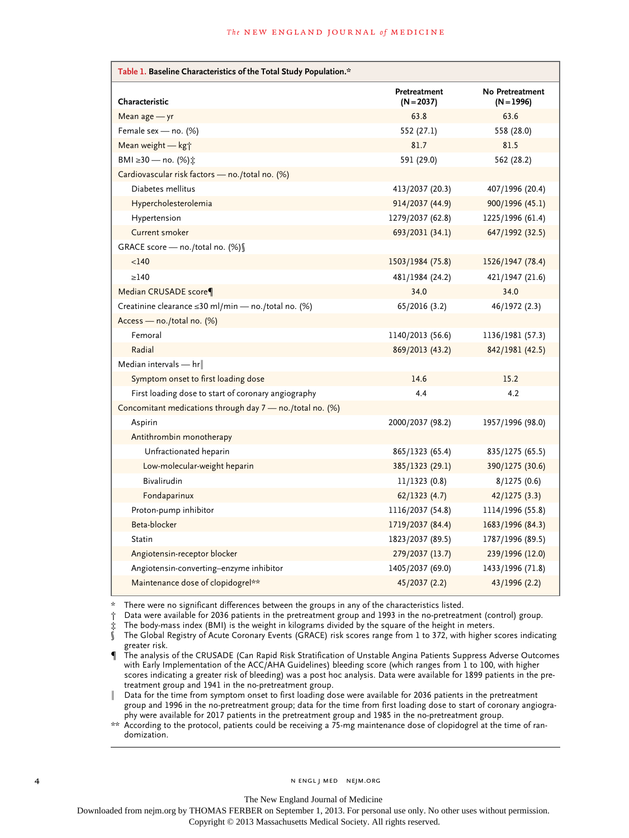| Table 1. Baseline Characteristics of the Total Study Population.* |                              |                                 |
|-------------------------------------------------------------------|------------------------------|---------------------------------|
| Characteristic                                                    | Pretreatment<br>$(N = 2037)$ | No Pretreatment<br>$(N = 1996)$ |
| Mean $age - yr$                                                   | 63.8                         | 63.6                            |
| Female sex - no. (%)                                              | 552 (27.1)                   | 558 (28.0)                      |
| Mean weight - kg <sup>+</sup>                                     | 81.7                         | 81.5                            |
| BMI ≥30 — no. (%) ‡                                               | 591 (29.0)                   | 562 (28.2)                      |
| Cardiovascular risk factors - no./total no. (%)                   |                              |                                 |
| Diabetes mellitus                                                 | 413/2037 (20.3)              | 407/1996 (20.4)                 |
| Hypercholesterolemia                                              | 914/2037 (44.9)              | 900/1996 (45.1)                 |
| Hypertension                                                      | 1279/2037 (62.8)             | 1225/1996 (61.4)                |
| Current smoker                                                    | 693/2031 (34.1)              | 647/1992 (32.5)                 |
| GRACE score - no./total no. (%)                                   |                              |                                 |
| <140                                                              | 1503/1984 (75.8)             | 1526/1947 (78.4)                |
| $\geq$ 140                                                        | 481/1984 (24.2)              | 421/1947 (21.6)                 |
| Median CRUSADE score¶                                             | 34.0                         | 34.0                            |
| Creatinine clearance ≤30 ml/min - no./total no. (%)               | 65/2016 (3.2)                | 46/1972 (2.3)                   |
| Access - no./total no. (%)                                        |                              |                                 |
| Femoral                                                           | 1140/2013 (56.6)             | 1136/1981 (57.3)                |
| Radial                                                            | 869/2013 (43.2)              | 842/1981 (42.5)                 |
| Median intervals $-$ hr                                           |                              |                                 |
| Symptom onset to first loading dose                               | 14.6                         | 15.2                            |
| First loading dose to start of coronary angiography               | 4.4                          | 4.2                             |
| Concomitant medications through day $7$ — no./total no. (%)       |                              |                                 |
| Aspirin                                                           | 2000/2037 (98.2)             | 1957/1996 (98.0)                |
| Antithrombin monotherapy                                          |                              |                                 |
| Unfractionated heparin                                            | 865/1323 (65.4)              | 835/1275 (65.5)                 |
| Low-molecular-weight heparin                                      | 385/1323 (29.1)              | 390/1275 (30.6)                 |
| Bivalirudin                                                       | 11/1323(0.8)                 | 8/1275(0.6)                     |
| Fondaparinux                                                      | 62/1323(4.7)                 | 42/1275(3.3)                    |
| Proton-pump inhibitor                                             | 1116/2037 (54.8)             | 1114/1996 (55.8)                |
| Beta-blocker                                                      | 1719/2037 (84.4)             | 1683/1996 (84.3)                |
| Statin                                                            | 1823/2037 (89.5)             | 1787/1996 (89.5)                |
| Angiotensin-receptor blocker                                      | 279/2037 (13.7)              | 239/1996 (12.0)                 |
| Angiotensin-converting-enzyme inhibitor                           | 1405/2037 (69.0)             | 1433/1996 (71.8)                |
| Maintenance dose of clopidogrel**                                 | 45/2037 (2.2)                | 43/1996 (2.2)                   |

\* There were no significant differences between the groups in any of the characteristics listed.

† Data were available for 2036 patients in the pretreatment group and 1993 in the no-pretreatment (control) group.

The body-mass index (BMI) is the weight in kilograms divided by the square of the height in meters.

 $\int$  The Global Registry of Acute Coronary Events (GRACE) risk scores range from 1 to 372, with higher scores indicating greater risk.

The analysis of the CRUSADE (Can Rapid Risk Stratification of Unstable Angina Patients Suppress Adverse Outcomes with Early Implementation of the ACC/AHA Guidelines) bleeding score (which ranges from 1 to 100, with higher scores indicating a greater risk of bleeding) was a post hoc analysis. Data were available for 1899 patients in the pretreatment group and 1941 in the no-pretreatment group.

Data for the time from symptom onset to first loading dose were available for 2036 patients in the pretreatment group and 1996 in the no-pretreatment group; data for the time from first loading dose to start of coronary angiography were available for 2017 patients in the pretreatment group and 1985 in the no-pretreatment group.

\*\* According to the protocol, patients could be receiving a 75-mg maintenance dose of clopidogrel at the time of randomization.

Downloaded from nejm.org by THOMAS FERBER on September 1, 2013. For personal use only. No other uses without permission.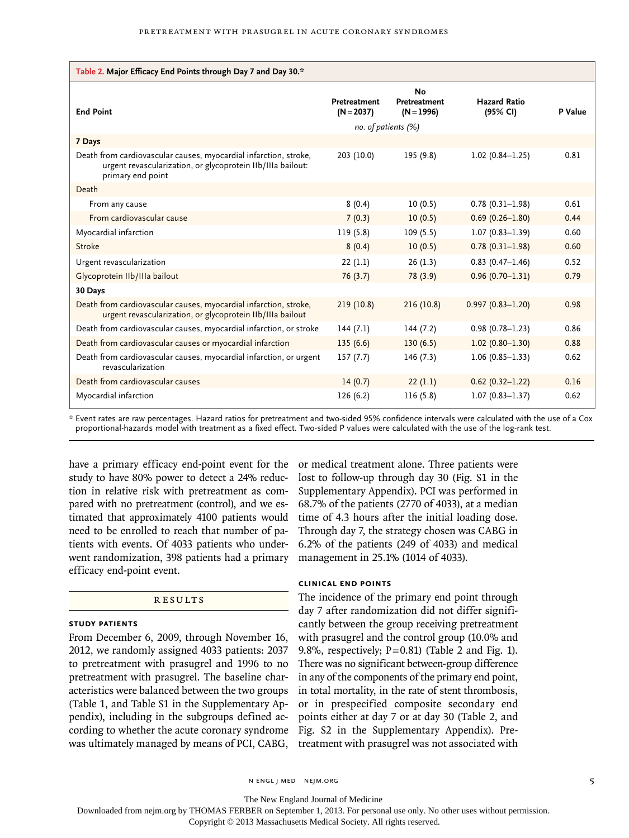| Table 2. Major Efficacy End Points through Day 7 and Day 30.*                                                                                        |                              |                                                           |                          |         |
|------------------------------------------------------------------------------------------------------------------------------------------------------|------------------------------|-----------------------------------------------------------|--------------------------|---------|
| <b>End Point</b>                                                                                                                                     | Pretreatment<br>$(N = 2037)$ | No<br>Pretreatment<br>$(N = 1996)$<br>no. of patients (%) | Hazard Ratio<br>(95% CI) | P Value |
| 7 Days                                                                                                                                               |                              |                                                           |                          |         |
| Death from cardiovascular causes, myocardial infarction, stroke,<br>urgent revascularization, or glycoprotein IIb/IIIa bailout:<br>primary end point | 203 (10.0)                   | 195 (9.8)                                                 | $1.02(0.84 - 1.25)$      | 0.81    |
| Death                                                                                                                                                |                              |                                                           |                          |         |
| From any cause                                                                                                                                       | 8(0.4)                       | 10(0.5)                                                   | $0.78(0.31 - 1.98)$      | 0.61    |
| From cardiovascular cause                                                                                                                            | 7(0.3)                       | 10(0.5)                                                   | $0.69(0.26 - 1.80)$      | 0.44    |
| Myocardial infarction                                                                                                                                | 119(5.8)                     | 109(5.5)                                                  | $1.07(0.83 - 1.39)$      | 0.60    |
| Stroke                                                                                                                                               | 8(0.4)                       | 10(0.5)                                                   | $0.78(0.31 - 1.98)$      | 0.60    |
| Urgent revascularization                                                                                                                             | 22(1.1)                      | 26(1.3)                                                   | $0.83(0.47 - 1.46)$      | 0.52    |
| Glycoprotein IIb/IIIa bailout                                                                                                                        | 76(3.7)                      | 78 (3.9)                                                  | $0.96(0.70 - 1.31)$      | 0.79    |
| 30 Days                                                                                                                                              |                              |                                                           |                          |         |
| Death from cardiovascular causes, myocardial infarction, stroke,<br>urgent revascularization, or glycoprotein IIb/IIIa bailout                       | 219(10.8)                    | 216(10.8)                                                 | $0.997(0.83 - 1.20)$     | 0.98    |
| Death from cardiovascular causes, myocardial infarction, or stroke                                                                                   | 144(7.1)                     | 144(7.2)                                                  | $0.98(0.78 - 1.23)$      | 0.86    |
| Death from cardiovascular causes or myocardial infarction                                                                                            | 135(6.6)                     | 130(6.5)                                                  | $1.02(0.80 - 1.30)$      | 0.88    |
| Death from cardiovascular causes, myocardial infarction, or urgent<br>revascularization                                                              | 157(7.7)                     | 146(7.3)                                                  | $1.06(0.85 - 1.33)$      | 0.62    |
| Death from cardiovascular causes                                                                                                                     | 14(0.7)                      | 22(1.1)                                                   | $0.62(0.32 - 1.22)$      | 0.16    |
| Myocardial infarction                                                                                                                                | 126(6.2)                     | 116(5.8)                                                  | $1.07(0.83 - 1.37)$      | 0.62    |

\* Event rates are raw percentages. Hazard ratios for pretreatment and two-sided 95% confidence intervals were calculated with the use of a Cox proportional-hazards model with treatment as a fixed effect. Two-sided P values were calculated with the use of the log-rank test.

have a primary efficacy end-point event for the study to have 80% power to detect a 24% reduction in relative risk with pretreatment as compared with no pretreatment (control), and we estimated that approximately 4100 patients would need to be enrolled to reach that number of patients with events. Of 4033 patients who underwent randomization, 398 patients had a primary efficacy end-point event.

# **RESULTS**

# **Study Patients**

From December 6, 2009, through November 16, 2012, we randomly assigned 4033 patients: 2037 to pretreatment with prasugrel and 1996 to no pretreatment with prasugrel. The baseline characteristics were balanced between the two groups (Table 1, and Table S1 in the Supplementary Appendix), including in the subgroups defined according to whether the acute coronary syndrome was ultimately managed by means of PCI, CABG, or medical treatment alone. Three patients were lost to follow-up through day 30 (Fig. S1 in the Supplementary Appendix). PCI was performed in 68.7% of the patients (2770 of 4033), at a median time of 4.3 hours after the initial loading dose. Through day 7, the strategy chosen was CABG in 6.2% of the patients (249 of 4033) and medical management in 25.1% (1014 of 4033).

#### **Clinical End Points**

The incidence of the primary end point through day 7 after randomization did not differ significantly between the group receiving pretreatment with prasugrel and the control group (10.0% and 9.8%, respectively;  $P=0.81$ ) (Table 2 and Fig. 1). There was no significant between-group difference in any of the components of the primary end point, in total mortality, in the rate of stent thrombosis, or in prespecified composite secondary end points either at day 7 or at day 30 (Table 2, and Fig. S2 in the Supplementary Appendix). Pretreatment with prasugrel was not associated with

n engl j med nejm.org 5

The New England Journal of Medicine

Downloaded from nejm.org by THOMAS FERBER on September 1, 2013. For personal use only. No other uses without permission.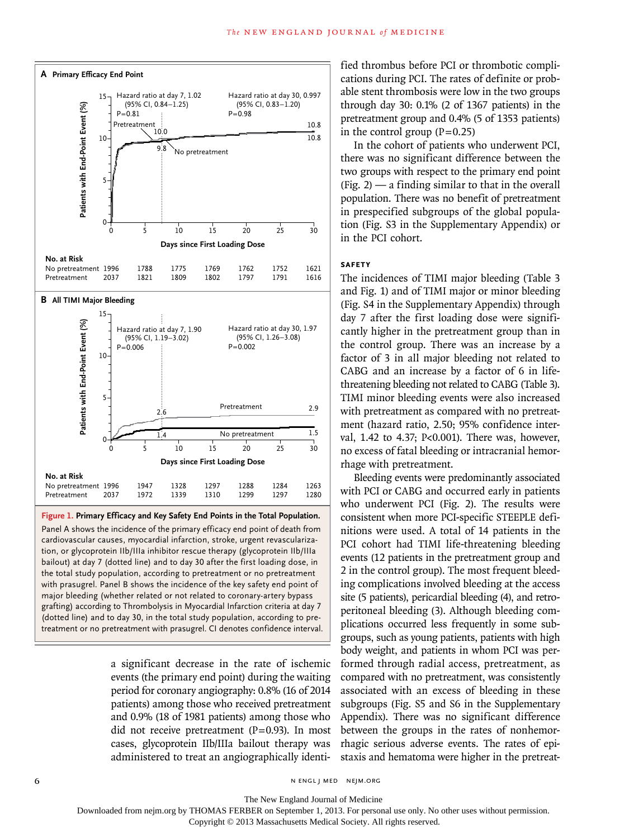

Panel A shows the incidence of the primary efficacy end point of death from cardiovascular causes, myocardial infarction, stroke, urgent revascularization, or glycoprotein IIb/IIIa inhibitor rescue therapy (glycoprotein IIb/IIIa bailout) at day 7 (dotted line) and to day 30 after the first loading dose, in the total study population, according to pretreatment or no pretreatment with prasugrel. Panel B shows the incidence of the key safety end point of major bleeding (whether related or not related to coronary-artery bypass grafting) according to Thrombolysis in Myocardial Infarction criteria at day 7 (dotted line) and to day 30, in the total study population, according to pretreatment or no pretreatment with prasugrel. CI denotes confidence interval.

> a significant decrease in the rate of ischemic events (the primary end point) during the waiting period for coronary angiography: 0.8% (16 of 2014 patients) among those who received pretreatment and 0.9% (18 of 1981 patients) among those who did not receive pretreatment ( $P=0.93$ ). In most cases, glycoprotein IIb/IIIa bailout therapy was administered to treat an angiographically identi

fied thrombus before PCI or thrombotic complications during PCI. The rates of definite or probable stent thrombosis were low in the two groups through day 30: 0.1% (2 of 1367 patients) in the pretreatment group and 0.4% (5 of 1353 patients) in the control group  $(P=0.25)$ 

In the cohort of patients who underwent PCI, there was no significant difference between the two groups with respect to the primary end point (Fig. 2) — a finding similar to that in the overall population. There was no benefit of pretreatment in prespecified subgroups of the global population (Fig. S3 in the Supplementary Appendix) or in the PCI cohort.

# **Safety**

The incidences of TIMI major bleeding (Table 3 and Fig. 1) and of TIMI major or minor bleeding (Fig. S4 in the Supplementary Appendix) through day 7 after the first loading dose were significantly higher in the pretreatment group than in the control group. There was an increase by a factor of 3 in all major bleeding not related to CABG and an increase by a factor of 6 in lifethreatening bleeding not related to CABG (Table 3). TIMI minor bleeding events were also increased with pretreatment as compared with no pretreatment (hazard ratio, 2.50; 95% confidence interval, 1.42 to 4.37; P<0.001). There was, however, no excess of fatal bleeding or intracranial hemorrhage with pretreatment.

Bleeding events were predominantly associated with PCI or CABG and occurred early in patients who underwent PCI (Fig. 2). The results were consistent when more PCI-specific STEEPLE definitions were used. A total of 14 patients in the PCI cohort had TIMI life-threatening bleeding events (12 patients in the pretreatment group and 2 in the control group). The most frequent bleeding complications involved bleeding at the access site (5 patients), pericardial bleeding (4), and retroperitoneal bleeding (3). Although bleeding complications occurred less frequently in some subgroups, such as young patients, patients with high body weight, and patients in whom PCI was performed through radial access, pretreatment, as compared with no pretreatment, was consistently associated with an excess of bleeding in these subgroups (Fig. S5 and S6 in the Supplementary Appendix). There was no significant difference between the groups in the rates of nonhemorrhagic serious adverse events. The rates of epistaxis and hematoma were higher in the pretreat-

The New England Journal of Medicine

Downloaded from nejm.org by THOMAS FERBER on September 1, 2013. For personal use only. No other uses without permission.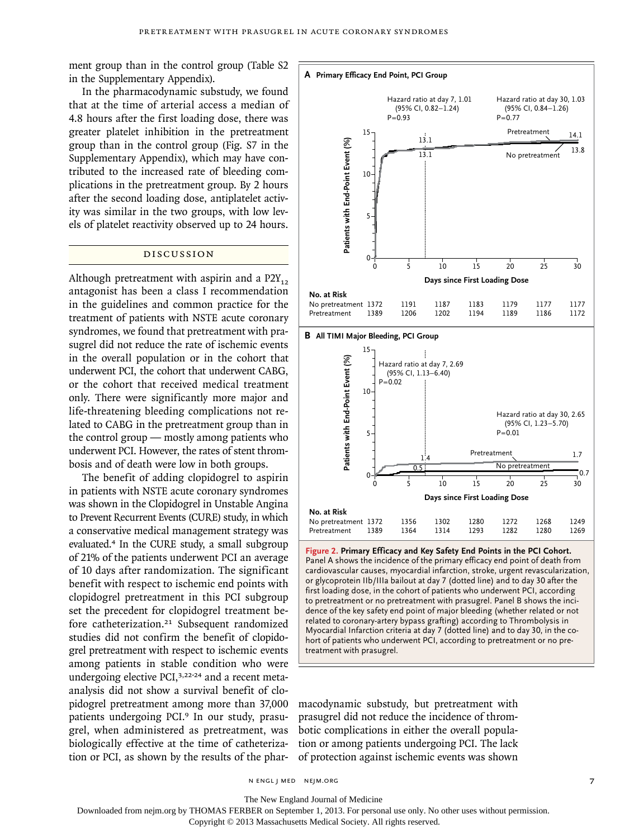ment group than in the control group (Table S2 in the Supplementary Appendix).

In the pharmacodynamic substudy, we found that at the time of arterial access a median of 4.8 hours after the first loading dose, there was greater platelet inhibition in the pretreatment group than in the control group (Fig. S7 in the Supplementary Appendix), which may have contributed to the increased rate of bleeding complications in the pretreatment group. By 2 hours after the second loading dose, antiplatelet activity was similar in the two groups, with low levels of platelet reactivity observed up to 24 hours.

# Discussion

Although pretreatment with aspirin and a  $P2Y_{12}$ antagonist has been a class I recommendation in the guidelines and common practice for the treatment of patients with NSTE acute coronary syndromes, we found that pretreatment with prasugrel did not reduce the rate of ischemic events in the overall population or in the cohort that underwent PCI, the cohort that underwent CABG, or the cohort that received medical treatment only. There were significantly more major and life-threatening bleeding complications not related to CABG in the pretreatment group than in the control group — mostly among patients who underwent PCI. However, the rates of stent thrombosis and of death were low in both groups.

The benefit of adding clopidogrel to aspirin in patients with NSTE acute coronary syndromes was shown in the Clopidogrel in Unstable Angina to Prevent Recurrent Events (CURE) study, in which a conservative medical management strategy was evaluated.4 In the CURE study, a small subgroup of 21% of the patients underwent PCI an average of 10 days after randomization. The significant benefit with respect to ischemic end points with clopidogrel pretreatment in this PCI subgroup set the precedent for clopidogrel treatment before catheterization.21 Subsequent randomized studies did not confirm the benefit of clopidogrel pretreatment with respect to ischemic events among patients in stable condition who were undergoing elective PCI,<sup>3,22-24</sup> and a recent metaanalysis did not show a survival benefit of clopidogrel pretreatment among more than 37,000 patients undergoing PCI.9 In our study, prasugrel, when administered as pretreatment, was biologically effective at the time of catheterization or PCI, as shown by the results of the phar-



**Figure 2. Primary Efficacy and Key Safety End Points in the PCI Cohort.** Panel A shows the incidence of the primary efficacy end point of death from cardiovascular causes, myocardial infarction, stroke, urgent revascularization, or glycoprotein IIb/IIIa bailout at day 7 (dotted line) and to day 30 after the first loading dose, in the cohort of patients who underwent PCI, according to pretreatment or no pretreatment with prasugrel. Panel B shows the incidence of the key safety end point of major bleeding (whether related or not related to coronary-artery bypass grafting) according to Thrombolysis in Myocardial Infarction criteria at day 7 (dotted line) and to day 30, in the cohort of patients who underwent PCI, according to pretreatment or no pretreatment with prasugrel.

macodynamic substudy, but pretreatment with prasugrel did not reduce the incidence of thrombotic complications in either the overall population or among patients undergoing PCI. The lack of protection against ischemic events was shown

n engl j med nejm.org 7

The New England Journal of Medicine

Downloaded from nejm.org by THOMAS FERBER on September 1, 2013. For personal use only. No other uses without permission.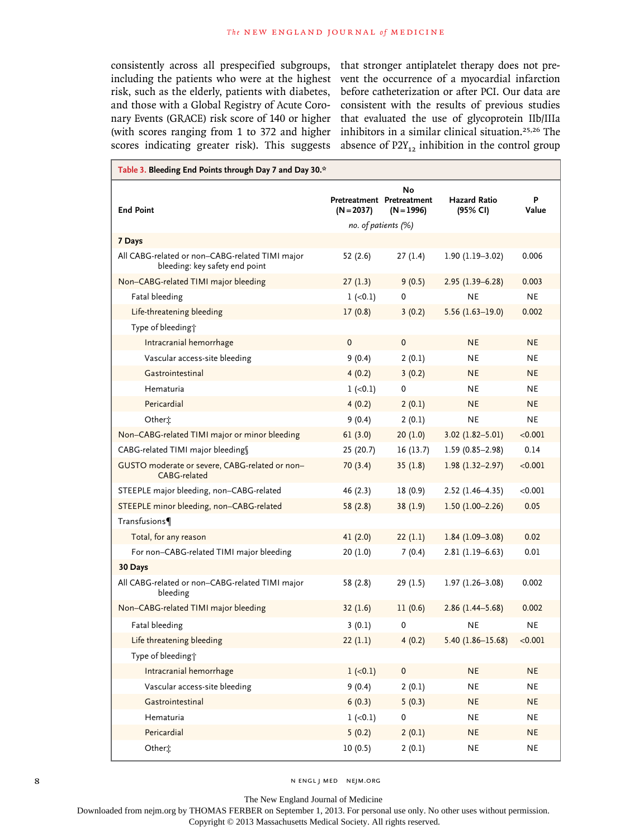including the patients who were at the highest risk, such as the elderly, patients with diabetes, and those with a Global Registry of Acute Coronary Events (GRACE) risk score of 140 or higher scores indicating greater risk). This suggests absence of  $P2Y_{12}$  inhibition in the control group

consistently across all prespecified subgroups, that stronger antiplatelet therapy does not pre-(with scores ranging from 1 to 372 and higher inhibitors in a similar clinical situation.<sup>25,26</sup> The vent the occurrence of a myocardial infarction before catheterization or after PCI. Our data are consistent with the results of previous studies that evaluated the use of glycoprotein IIb/IIIa

| Table 3. Bleeding End Points through Day 7 and Day 30.*                           |                     |                                                 |                          |            |
|-----------------------------------------------------------------------------------|---------------------|-------------------------------------------------|--------------------------|------------|
| <b>End Point</b>                                                                  | $(N = 2037)$        | No<br>Pretreatment Pretreatment<br>$(N = 1996)$ | Hazard Ratio<br>(95% CI) | P<br>Value |
|                                                                                   | no. of patients (%) |                                                 |                          |            |
| 7 Days                                                                            |                     |                                                 |                          |            |
| All CABG-related or non–CABG-related TIMI major<br>bleeding: key safety end point | 52 (2.6)            | 27(1.4)                                         | $1.90(1.19 - 3.02)$      | 0.006      |
| Non-CABG-related TIMI major bleeding                                              | 27(1.3)             | 9(0.5)                                          | $2.95(1.39 - 6.28)$      | 0.003      |
| Fatal bleeding                                                                    | $1 (-0.1)$          | 0                                               | <b>NE</b>                | NE         |
| Life-threatening bleeding                                                         | 17(0.8)             | 3(0.2)                                          | $5.56(1.63 - 19.0)$      | 0.002      |
| Type of bleeding†                                                                 |                     |                                                 |                          |            |
| Intracranial hemorrhage                                                           | $\mathbf{0}$        | $\mathbf 0$                                     | <b>NE</b>                | <b>NE</b>  |
| Vascular access-site bleeding                                                     | 9(0.4)              | 2(0.1)                                          | NE                       | NE         |
| Gastrointestinal                                                                  | 4(0.2)              | 3(0.2)                                          | <b>NE</b>                | <b>NE</b>  |
| Hematuria                                                                         | $1(-0.1)$           | 0                                               | <b>NE</b>                | <b>NE</b>  |
| Pericardial                                                                       | 4(0.2)              | 2(0.1)                                          | <b>NE</b>                | <b>NE</b>  |
| Otheri                                                                            | 9(0.4)              | 2(0.1)                                          | <b>NE</b>                | <b>NE</b>  |
| Non-CABG-related TIMI major or minor bleeding                                     | 61(3.0)             | 20(1.0)                                         | $3.02(1.82 - 5.01)$      | < 0.001    |
| CABG-related TIMI major bleeding                                                  | 25 (20.7)           | 16(13.7)                                        | $1.59(0.85 - 2.98)$      | 0.14       |
| GUSTO moderate or severe, CABG-related or non-<br>CABG-related                    | 70 (3.4)            | 35(1.8)                                         | $1.98(1.32 - 2.97)$      | < 0.001    |
| STEEPLE major bleeding, non-CABG-related                                          | 46 (2.3)            | 18(0.9)                                         | 2.52 (1.46–4.35)         | < 0.001    |
| STEEPLE minor bleeding, non-CABG-related                                          | 58(2.8)             | 38(1.9)                                         | $1.50(1.00-2.26)$        | 0.05       |
| Transfusions                                                                      |                     |                                                 |                          |            |
| Total, for any reason                                                             | 41(2.0)             | 22(1.1)                                         | $1.84(1.09-3.08)$        | 0.02       |
| For non-CABG-related TIMI major bleeding                                          | 20(1.0)             | 7(0.4)                                          | $2.81(1.19-6.63)$        | 0.01       |
| 30 Days                                                                           |                     |                                                 |                          |            |
| All CABG-related or non-CABG-related TIMI major<br>bleeding                       | 58 (2.8)            | 29 (1.5)                                        | $1.97(1.26 - 3.08)$      | 0.002      |
| Non-CABG-related TIMI major bleeding                                              | 32(1.6)             | 11(0.6)                                         | $2.86(1.44 - 5.68)$      | 0.002      |
| Fatal bleeding                                                                    | 3(0.1)              | $\mathbf 0$                                     | <b>NE</b>                | <b>NE</b>  |
| Life threatening bleeding                                                         | 22(1.1)             | 4(0.2)                                          | $5.40(1.86 - 15.68)$     | < 0.001    |
| Type of bleeding <sup>+</sup>                                                     |                     |                                                 |                          |            |
| Intracranial hemorrhage                                                           | $1 (-0.1)$          | $\pmb{0}$                                       | $N\,E$                   | <b>NE</b>  |
| Vascular access-site bleeding                                                     | 9(0.4)              | 2(0.1)                                          | $\sf NE$                 | <b>NE</b>  |
| Gastrointestinal                                                                  | 6(0.3)              | 5(0.3)                                          | $N\,E$                   | <b>NE</b>  |
| Hematuria                                                                         | $1 (-0.1)$          | 0                                               | <b>NE</b>                | <b>NE</b>  |
| Pericardial                                                                       | 5(0.2)              | 2(0.1)                                          | $N\,E$                   | <b>NE</b>  |
| Other <sup>+</sup>                                                                | 10(0.5)             | 2(0.1)                                          | <b>NE</b>                | <b>NE</b>  |

8 N ENGL J MED NEJM.ORG

The New England Journal of Medicine

Downloaded from nejm.org by THOMAS FERBER on September 1, 2013. For personal use only. No other uses without permission.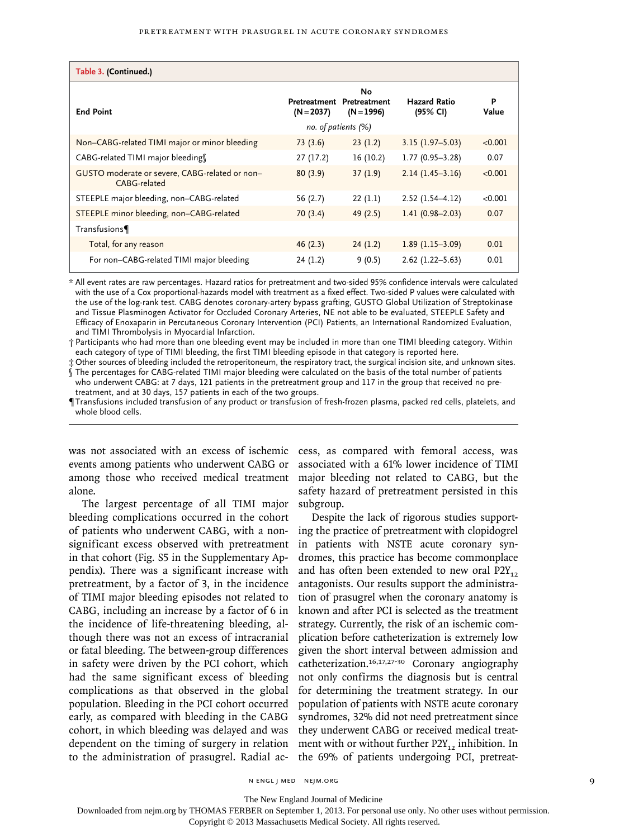| Table 3. (Continued.)                                          |                              |                                    |                                 |            |
|----------------------------------------------------------------|------------------------------|------------------------------------|---------------------------------|------------|
| <b>End Point</b>                                               | Pretreatment<br>$(N = 2037)$ | No<br>Pretreatment<br>$(N = 1996)$ | <b>Hazard Ratio</b><br>(95% CI) | P<br>Value |
|                                                                | no. of patients (%)          |                                    |                                 |            |
| Non-CABG-related TIMI major or minor bleeding                  | 73(3.6)                      | 23(1.2)                            | $3.15(1.97 - 5.03)$             | < 0.001    |
| CABG-related TIMI major bleeding                               | 27 (17.2)                    | 16(10.2)                           | $1.77(0.95 - 3.28)$             | 0.07       |
| GUSTO moderate or severe, CABG-related or non-<br>CABG-related | 80(3.9)                      | 37(1.9)                            | $2.14(1.45-3.16)$               | < 0.001    |
| STEEPLE major bleeding, non-CABG-related                       | 56 (2.7)                     | 22(1.1)                            | $2.52(1.54 - 4.12)$             | < 0.001    |
| STEEPLE minor bleeding, non-CABG-related                       | 70(3.4)                      | 49(2.5)                            | $1.41(0.98 - 2.03)$             | 0.07       |
| Transfusions¶                                                  |                              |                                    |                                 |            |
| Total, for any reason                                          | 46(2.3)                      | 24(1.2)                            | $1.89(1.15-3.09)$               | 0.01       |
| For non-CABG-related TIMI major bleeding                       | 24(1.2)                      | 9(0.5)                             | $2.62$ (1.22-5.63)              | 0.01       |

\* All event rates are raw percentages. Hazard ratios for pretreatment and two-sided 95% confidence intervals were calculated with the use of a Cox proportional-hazards model with treatment as a fixed effect. Two-sided P values were calculated with the use of the log-rank test. CABG denotes coronary-artery bypass grafting, GUSTO Global Utilization of Streptokinase and Tissue Plasminogen Activator for Occluded Coronary Arteries, NE not able to be evaluated, STEEPLE Safety and Efficacy of Enoxaparin in Percutaneous Coronary Intervention (PCI) Patients, an International Randomized Evaluation, and TIMI Thrombolysis in Myocardial Infarction.

† Participants who had more than one bleeding event may be included in more than one TIMI bleeding category. Within each category of type of TIMI bleeding, the first TIMI bleeding episode in that category is reported here.

‡ Other sources of bleeding included the retroperitoneum, the respiratory tract, the surgical incision site, and unknown sites. § The percentages for CABG-related TIMI major bleeding were calculated on the basis of the total number of patients who underwent CABG: at 7 days, 121 patients in the pretreatment group and 117 in the group that received no pre-

treatment, and at 30 days, 157 patients in each of the two groups.

¶Transfusions included transfusion of any product or transfusion of fresh-frozen plasma, packed red cells, platelets, and whole blood cells.

was not associated with an excess of ischemic cess, as compared with femoral access, was events among patients who underwent CABG or among those who received medical treatment major bleeding not related to CABG, but the alone.

The largest percentage of all TIMI major bleeding complications occurred in the cohort of patients who underwent CABG, with a nonsignificant excess observed with pretreatment in that cohort (Fig. S5 in the Supplementary Appendix). There was a significant increase with pretreatment, by a factor of 3, in the incidence of TIMI major bleeding episodes not related to CABG, including an increase by a factor of 6 in the incidence of life-threatening bleeding, although there was not an excess of intracranial or fatal bleeding. The between-group differences in safety were driven by the PCI cohort, which had the same significant excess of bleeding complications as that observed in the global population. Bleeding in the PCI cohort occurred early, as compared with bleeding in the CABG cohort, in which bleeding was delayed and was dependent on the timing of surgery in relation to the administration of prasugrel. Radial acassociated with a 61% lower incidence of TIMI safety hazard of pretreatment persisted in this subgroup.

Despite the lack of rigorous studies supporting the practice of pretreatment with clopidogrel in patients with NSTE acute coronary syndromes, this practice has become commonplace and has often been extended to new oral  $P2Y_{12}$ antagonists. Our results support the administration of prasugrel when the coronary anatomy is known and after PCI is selected as the treatment strategy. Currently, the risk of an ischemic complication before catheterization is extremely low given the short interval between admission and catheterization.16,17,27-30 Coronary angiography not only confirms the diagnosis but is central for determining the treatment strategy. In our population of patients with NSTE acute coronary syndromes, 32% did not need pretreatment since they underwent CABG or received medical treatment with or without further  $P2Y_{12}$  inhibition. In the 69% of patients undergoing PCI, pretreat-

The New England Journal of Medicine

Downloaded from nejm.org by THOMAS FERBER on September 1, 2013. For personal use only. No other uses without permission.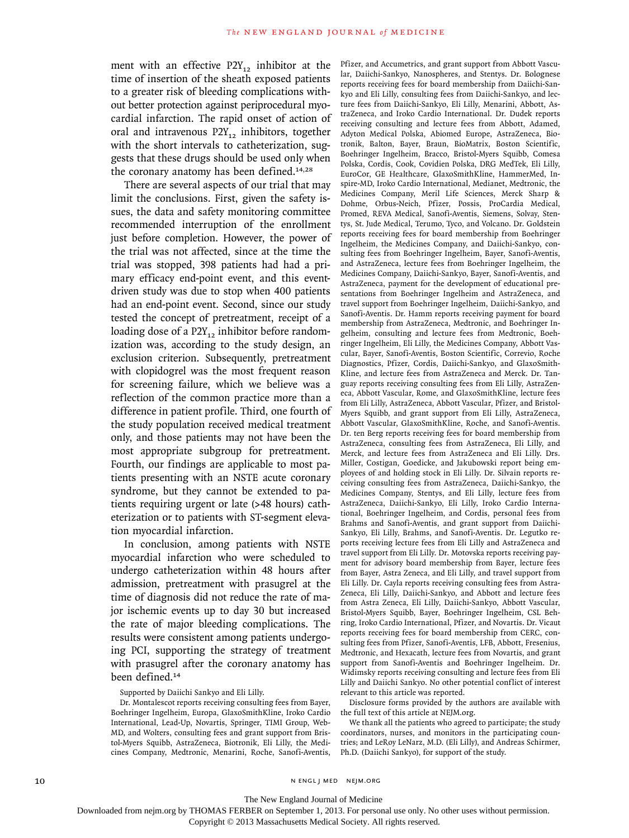ment with an effective  $P2Y_{12}$  inhibitor at the time of insertion of the sheath exposed patients to a greater risk of bleeding complications without better protection against periprocedural myocardial infarction. The rapid onset of action of oral and intravenous  $P2Y_{12}$  inhibitors, together with the short intervals to catheterization, suggests that these drugs should be used only when the coronary anatomy has been defined.14,28

There are several aspects of our trial that may limit the conclusions. First, given the safety issues, the data and safety monitoring committee recommended interruption of the enrollment just before completion. However, the power of the trial was not affected, since at the time the trial was stopped, 398 patients had had a primary efficacy end-point event, and this eventdriven study was due to stop when 400 patients had an end-point event. Second, since our study tested the concept of pretreatment, receipt of a loading dose of a  $P2Y_{12}$  inhibitor before randomization was, according to the study design, an exclusion criterion. Subsequently, pretreatment with clopidogrel was the most frequent reason for screening failure, which we believe was a reflection of the common practice more than a difference in patient profile. Third, one fourth of the study population received medical treatment only, and those patients may not have been the most appropriate subgroup for pretreatment. Fourth, our findings are applicable to most patients presenting with an NSTE acute coronary syndrome, but they cannot be extended to patients requiring urgent or late (>48 hours) catheterization or to patients with ST-segment elevation myocardial infarction.

In conclusion, among patients with NSTE myocardial infarction who were scheduled to undergo catheterization within 48 hours after admission, pretreatment with prasugrel at the time of diagnosis did not reduce the rate of major ischemic events up to day 30 but increased the rate of major bleeding complications. The results were consistent among patients undergoing PCI, supporting the strategy of treatment with prasugrel after the coronary anatomy has been defined.<sup>14</sup>

Supported by Daiichi Sankyo and Eli Lilly.

Dr. Montalescot reports receiving consulting fees from Bayer, Boehringer Ingelheim, Europa, GlaxoSmithKline, Iroko Cardio International, Lead-Up, Novartis, Springer, TIMI Group, Web-MD, and Wolters, consulting fees and grant support from Bristol-Myers Squibb, AstraZeneca, Biotronik, Eli Lilly, the Medicines Company, Medtronic, Menarini, Roche, Sanofi-Aventis,

Pfizer, and Accumetrics, and grant support from Abbott Vascular, Daiichi-Sankyo, Nanospheres, and Stentys. Dr. Bolognese reports receiving fees for board membership from Daiichi-Sankyo and Eli Lilly, consulting fees from Daiichi-Sankyo, and lecture fees from Daiichi-Sankyo, Eli Lilly, Menarini, Abbott, AstraZeneca, and Iroko Cardio International. Dr. Dudek reports receiving consulting and lecture fees from Abbott, Adamed, Adyton Medical Polska, Abiomed Europe, AstraZeneca, Biotronik, Balton, Bayer, Braun, BioMatrix, Boston Scientific, Boehringer Ingelheim, Bracco, Bristol-Myers Squibb, Comesa Polska, Cordis, Cook, Covidien Polska, DRG MedTek, Eli Lilly, EuroCor, GE Healthcare, GlaxoSmithKline, HammerMed, Inspire-MD, Iroko Cardio International, Medianet, Medtronic, the Medicines Company, Meril Life Sciences, Merck Sharp & Dohme, Orbus-Neich, Pfizer, Possis, ProCardia Medical, Promed, REVA Medical, Sanofi-Aventis, Siemens, Solvay, Stentys, St. Jude Medical, Terumo, Tyco, and Volcano. Dr. Goldstein reports receiving fees for board membership from Boehringer Ingelheim, the Medicines Company, and Daiichi-Sankyo, consulting fees from Boehringer Ingelheim, Bayer, Sanofi-Aventis, and AstraZeneca, lecture fees from Boehringer Ingelheim, the Medicines Company, Daiichi-Sankyo, Bayer, Sanofi-Aventis, and AstraZeneca, payment for the development of educational presentations from Boehringer Ingelheim and AstraZeneca, and travel support from Boehringer Ingelheim, Daiichi-Sankyo, and Sanofi-Aventis. Dr. Hamm reports receiving payment for board membership from AstraZeneca, Medtronic, and Boehringer Ingelheim, consulting and lecture fees from Medtronic, Boehringer Ingelheim, Eli Lilly, the Medicines Company, Abbott Vascular, Bayer, Sanofi-Aventis, Boston Scientific, Correvio, Roche Diagnostics, Pfizer, Cordis, Daiichi-Sankyo, and GlaxoSmith-Kline, and lecture fees from AstraZeneca and Merck. Dr. Tanguay reports receiving consulting fees from Eli Lilly, AstraZeneca, Abbott Vascular, Rome, and GlaxoSmithKline, lecture fees from Eli Lilly, AstraZeneca, Abbott Vascular, Pfizer, and Bristol-Myers Squibb, and grant support from Eli Lilly, AstraZeneca, Abbott Vascular, GlaxoSmithKline, Roche, and Sanofi-Aventis. Dr. ten Berg reports receiving fees for board membership from AstraZeneca, consulting fees from AstraZeneca, Eli Lilly, and Merck, and lecture fees from AstraZeneca and Eli Lilly. Drs. Miller, Costigan, Goedicke, and Jakubowski report being employees of and holding stock in Eli Lilly. Dr. Silvain reports receiving consulting fees from AstraZeneca, Daiichi-Sankyo, the Medicines Company, Stentys, and Eli Lilly, lecture fees from AstraZeneca, Daiichi-Sankyo, Eli Lilly, Iroko Cardio International, Boehringer Ingelheim, and Cordis, personal fees from Brahms and Sanofi-Aventis, and grant support from Daiichi-Sankyo, Eli Lilly, Brahms, and Sanofi-Aventis. Dr. Legutko reports receiving lecture fees from Eli Lilly and AstraZeneca and travel support from Eli Lilly. Dr. Motovska reports receiving payment for advisory board membership from Bayer, lecture fees from Bayer, Astra Zeneca, and Eli Lilly, and travel support from Eli Lilly. Dr. Cayla reports receiving consulting fees from Astra-Zeneca, Eli Lilly, Daiichi-Sankyo, and Abbott and lecture fees from Astra Zeneca, Eli Lilly, Daiichi-Sankyo, Abbott Vascular, Bristol-Myers Squibb, Bayer, Boehringer Ingelheim, CSL Behring, Iroko Cardio International, Pfizer, and Novartis. Dr. Vicaut reports receiving fees for board membership from CERC, consulting fees from Pfizer, Sanofi-Aventis, LFB, Abbott, Fresenius, Medtronic, and Hexacath, lecture fees from Novartis, and grant support from Sanofi-Aventis and Boehringer Ingelheim. Dr. Widimsky reports receiving consulting and lecture fees from Eli Lilly and Daiichi Sankyo. No other potential conflict of interest relevant to this article was reported.

Disclosure forms provided by the authors are available with the full text of this article at NEJM.org.

We thank all the patients who agreed to participate; the study coordinators, nurses, and monitors in the participating countries; and LeRoy LeNarz, M.D. (Eli Lilly), and Andreas Schirmer, Ph.D. (Daiichi Sankyo), for support of the study.

10 n engl j med nejm.org negm.org negm.org negm.org negm.org negm.org negm.org negm.org negm.org negm.org negm

The New England Journal of Medicine Downloaded from nejm.org by THOMAS FERBER on September 1, 2013. For personal use only. No other uses without permission.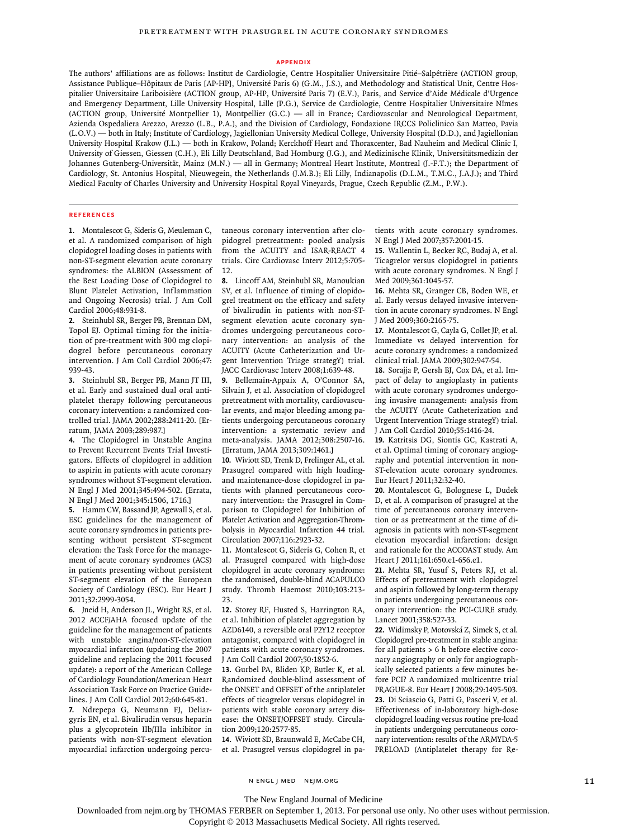#### **appendix**

The authors' affiliations are as follows: Institut de Cardiologie, Centre Hospitalier Universitaire Pitié–Salpêtrière (ACTION group, Assistance Publique–Hôpitaux de Paris [AP-HP], Université Paris 6) (G.M., J.S.), and Methodology and Statistical Unit, Centre Hospitalier Universitaire Lariboisière (ACTION group, AP-HP, Université Paris 7) (E.V.), Paris, and Service d'Aide Médicale d'Urgence and Emergency Department, Lille University Hospital, Lille (P.G.), Service de Cardiologie, Centre Hospitalier Universitaire Nîmes (ACTION group, Université Montpellier 1), Montpellier (G.C.) — all in France; Cardiovascular and Neurological Department, Azienda Ospedaliera Arezzo, Arezzo (L.B., P.A.), and the Division of Cardiology, Fondazione IRCCS Policlinico San Matteo, Pavia (L.O.V.) — both in Italy; Institute of Cardiology, Jagiellonian University Medical College, University Hospital (D.D.), and Jagiellonian University Hospital Krakow (J.L.) — both in Krakow, Poland; Kerckhoff Heart and Thoraxcenter, Bad Nauheim and Medical Clinic I, University of Giessen, Giessen (C.H.), Eli Lilly Deutschland, Bad Homburg (J.G.), and Medizinische Klinik, Universitätsmedizin der Johannes Gutenberg-Universität, Mainz (M.N.) — all in Germany; Montreal Heart Institute, Montreal (J.-F.T.); the Department of Cardiology, St. Antonius Hospital, Nieuwegein, the Netherlands (J.M.B.); Eli Lilly, Indianapolis (D.L.M., T.M.C., J.A.J.); and Third Medical Faculty of Charles University and University Hospital Royal Vineyards, Prague, Czech Republic (Z.M., P.W.).

#### **References**

**1.** Montalescot G, Sideris G, Meuleman C, et al. A randomized comparison of high clopidogrel loading doses in patients with non-ST-segment elevation acute coronary syndromes: the ALBION (Assessment of the Best Loading Dose of Clopidogrel to Blunt Platelet Activation, Inflammation and Ongoing Necrosis) trial. J Am Coll Cardiol 2006;48:931-8.

**2.** Steinhubl SR, Berger PB, Brennan DM, Topol EJ. Optimal timing for the initiation of pre-treatment with 300 mg clopidogrel before percutaneous coronary intervention. J Am Coll Cardiol 2006;47: 939-43.

**3.** Steinhubl SR, Berger PB, Mann JT III, et al. Early and sustained dual oral antiplatelet therapy following percutaneous coronary intervention: a randomized controlled trial. JAMA 2002;288:2411-20. [Erratum, JAMA 2003;289:987.]

**4.** The Clopidogrel in Unstable Angina to Prevent Recurrent Events Trial Investigators. Effects of clopidogrel in addition to aspirin in patients with acute coronary syndromes without ST-segment elevation. N Engl J Med 2001;345:494-502. [Errata, N Engl J Med 2001;345:1506, 1716.]

**5.** Hamm CW, Bassand JP, Agewall S, et al. ESC guidelines for the management of acute coronary syndromes in patients presenting without persistent ST-segment elevation: the Task Force for the management of acute coronary syndromes (ACS) in patients presenting without persistent ST-segment elevation of the European Society of Cardiology (ESC). Eur Heart J 2011;32:2999-3054.

**6.** Jneid H, Anderson JL, Wright RS, et al. 2012 ACCF/AHA focused update of the guideline for the management of patients with unstable angina/non-ST-elevation myocardial infarction (updating the 2007 guideline and replacing the 2011 focused update): a report of the American College of Cardiology Foundation/American Heart Association Task Force on Practice Guidelines. J Am Coll Cardiol 2012;60:645-81. **7.** Ndrepepa G, Neumann FJ, Deliargyris EN, et al. Bivalirudin versus heparin plus a glycoprotein IIb/IIIa inhibitor in patients with non-ST-segment elevation myocardial infarction undergoing percu-

taneous coronary intervention after clopidogrel pretreatment: pooled analysis from the ACUITY and ISAR-REACT 4 trials. Circ Cardiovasc Interv 2012;5:705- 12.

**8.** Lincoff AM, Steinhubl SR, Manoukian SV, et al. Influence of timing of clopidogrel treatment on the efficacy and safety of bivalirudin in patients with non-STsegment elevation acute coronary syndromes undergoing percutaneous coronary intervention: an analysis of the ACUITY (Acute Catheterization and Urgent Intervention Triage strategY) trial. JACC Cardiovasc Interv 2008;1:639-48.

**9.** Bellemain-Appaix A, O'Connor SA, Silvain J, et al. Association of clopidogrel pretreatment with mortality, cardiovascular events, and major bleeding among patients undergoing percutaneous coronary intervention: a systematic review and meta-analysis. JAMA 2012;308:2507-16. [Erratum, JAMA 2013;309:1461.]

**10.** Wiviott SD, Trenk D, Frelinger AL, et al. Prasugrel compared with high loadingand maintenance-dose clopidogrel in patients with planned percutaneous coronary intervention: the Prasugrel in Comparison to Clopidogrel for Inhibition of Platelet Activation and Aggregation-Thrombolysis in Myocardial Infarction 44 trial. Circulation 2007;116:2923-32.

**11.** Montalescot G, Sideris G, Cohen R, et al. Prasugrel compared with high-dose clopidogrel in acute coronary syndrome: the randomised, double-blind ACAPULCO study. Thromb Haemost 2010;103:213- 23.

**12.** Storey RF, Husted S, Harrington RA, et al. Inhibition of platelet aggregation by AZD6140, a reversible oral P2Y12 receptor antagonist, compared with clopidogrel in patients with acute coronary syndromes. J Am Coll Cardiol 2007;50:1852-6.

**13.** Gurbel PA, Bliden KP, Butler K, et al. Randomized double-blind assessment of the ONSET and OFFSET of the antiplatelet effects of ticagrelor versus clopidogrel in patients with stable coronary artery disease: the ONSET/OFFSET study. Circulation 2009;120:2577-85.

**14.** Wiviott SD, Braunwald E, McCabe CH, et al. Prasugrel versus clopidogrel in patients with acute coronary syndromes. N Engl J Med 2007;357:2001-15.

**15.** Wallentin L, Becker RC, Budaj A, et al. Ticagrelor versus clopidogrel in patients with acute coronary syndromes. N Engl J Med 2009;361:1045-57.

**16.** Mehta SR, Granger CB, Boden WE, et al. Early versus delayed invasive intervention in acute coronary syndromes. N Engl J Med 2009;360:2165-75.

**17.** Montalescot G, Cayla G, Collet JP, et al. Immediate vs delayed intervention for acute coronary syndromes: a randomized clinical trial. JAMA 2009;302:947-54.

**18.** Sorajja P, Gersh BJ, Cox DA, et al. Impact of delay to angioplasty in patients with acute coronary syndromes undergoing invasive management: analysis from the ACUITY (Acute Catheterization and Urgent Intervention Triage strategY) trial. J Am Coll Cardiol 2010;55:1416-24.

**19.** Katritsis DG, Siontis GC, Kastrati A, et al. Optimal timing of coronary angiography and potential intervention in non-ST-elevation acute coronary syndromes. Eur Heart J 2011;32:32-40.

**20.** Montalescot G, Bolognese L, Dudek D, et al. A comparison of prasugrel at the time of percutaneous coronary intervention or as pretreatment at the time of diagnosis in patients with non-ST-segment elevation myocardial infarction: design and rationale for the ACCOAST study. Am Heart J 2011;161:650.e1-656.e1.

**21.** Mehta SR, Yusuf S, Peters RJ, et al. Effects of pretreatment with clopidogrel and aspirin followed by long-term therapy in patients undergoing percutaneous coronary intervention: the PCI-CURE study. Lancet 2001;358:527-33.

**22.** Widimsky P, Motovská Z, Simek S, et al. Clopidogrel pre-treatment in stable angina: for all patients > 6 h before elective coronary angiography or only for angiographically selected patients a few minutes before PCI? A randomized multicentre trial PRAGUE-8. Eur Heart J 2008;29:1495-503. **23.** Di Sciascio G, Patti G, Pasceri V, et al. Effectiveness of in-laboratory high-dose clopidogrel loading versus routine pre-load in patients undergoing percutaneous coronary intervention: results of the ARMYDA-5 PRELOAD (Antiplatelet therapy for Re-

Downloaded from nejm.org by THOMAS FERBER on September 1, 2013. For personal use only. No other uses without permission.